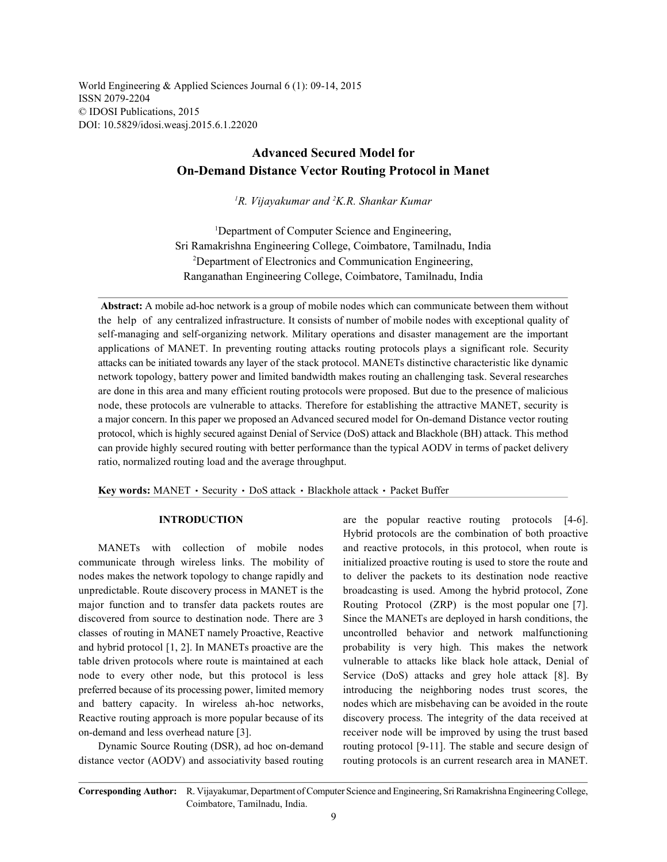World Engineering & Applied Sciences Journal 6 (1): 09-14, 2015 ISSN 2079-2204 © IDOSI Publications, 2015 DOI: 10.5829/idosi.weasj.2015.6.1.22020

# **Advanced Secured Model for On-Demand Distance Vector Routing Protocol in Manet**

<sup>1</sup>R. Vijayakumar and <sup>2</sup>K.R. Shankar Kumar

<sup>1</sup>Department of Computer Science and Engineering, Sri Ramakrishna Engineering College, Coimbatore, Tamilnadu, India Department of Electronics and Communication Engineering, <sup>2</sup> Ranganathan Engineering College, Coimbatore, Tamilnadu, India

 **Abstract:** A mobile ad-hoc network is a group of mobile nodes which can communicate between them without the help of any centralized infrastructure. It consists of number of mobile nodes with exceptional quality of self-managing and self-organizing network. Military operations and disaster management are the important applications of MANET. In preventing routing attacks routing protocols plays a significant role. Security attacks can be initiated towards any layer of the stack protocol. MANETs distinctive characteristic like dynamic network topology, battery power and limited bandwidth makes routing an challenging task. Several researches are done in this area and many efficient routing protocols were proposed. But due to the presence of malicious node, these protocols are vulnerable to attacks. Therefore for establishing the attractive MANET, security is a major concern. In this paper we proposed an Advanced secured model for On-demand Distance vector routing protocol, which is highly secured against Denial of Service (DoS) attack and Blackhole (BH) attack. This method can provide highly secured routing with better performance than the typical AODV in terms of packet delivery ratio, normalized routing load and the average throughput.

Key words: MANET · Security · DoS attack · Blackhole attack · Packet Buffer

communicate through wireless links. The mobility of initialized proactive routing is used to store the route and nodes makes the network topology to change rapidly and to deliver the packets to its destination node reactive unpredictable. Route discovery process in MANET is the broadcasting is used. Among the hybrid protocol, Zone major function and to transfer data packets routes are Routing Protocol (ZRP) is the most popular one [7]. discovered from source to destination node. There are 3 Since the MANETs are deployed in harsh conditions, the classes of routing in MANET namely Proactive, Reactive uncontrolled behavior and network malfunctioning and hybrid protocol [1, 2]. In MANETs proactive are the probability is very high. This makes the network table driven protocols where route is maintained at each vulnerable to attacks like black hole attack, Denial of node to every other node, but this protocol is less Service (DoS) attacks and grey hole attack [8]. By preferred because of its processing power, limited memory introducing the neighboring nodes trust scores, the and battery capacity. In wireless ah-hoc networks, nodes which are misbehaving can be avoided in the route Reactive routing approach is more popular because of its discovery process. The integrity of the data received at on-demand and less overhead nature [3]. receiver node will be improved by using the trust based

distance vector (AODV) and associativity based routing routing protocols is an current research area in MANET.

**INTRODUCTION** are the popular reactive routing protocols [4-6]. MANETs with collection of mobile nodes and reactive protocols, in this protocol, when route is Dynamic Source Routing (DSR), ad hoc on-demand routing protocol [9-11]. The stable and secure design of Hybrid protocols are the combination of both proactive

**Corresponding Author:** R. Vijayakumar, Department of Computer Science and Engineering, Sri Ramakrishna Engineering College, Coimbatore, Tamilnadu, India.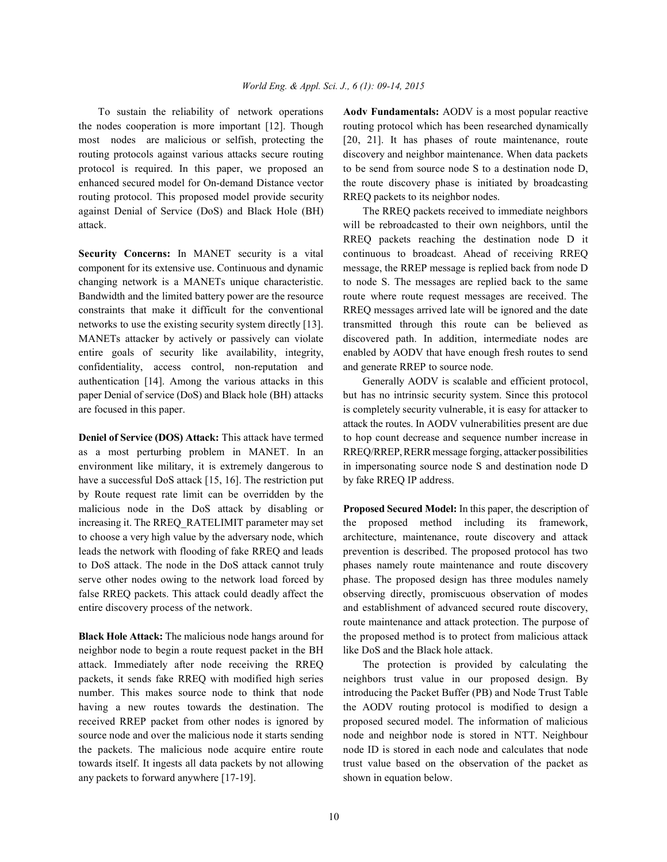the nodes cooperation is more important [12]. Though routing protocol which has been researched dynamically most nodes are malicious or selfish, protecting the [20, 21]. It has phases of route maintenance, route routing protocols against various attacks secure routing discovery and neighbor maintenance. When data packets protocol is required. In this paper, we proposed an to be send from source node S to a destination node D, enhanced secured model for On-demand Distance vector the route discovery phase is initiated by broadcasting routing protocol. This proposed model provide security RREQ packets to its neighbor nodes. against Denial of Service (DoS) and Black Hole (BH) The RREQ packets received to immediate neighbors attack. will be rebroadcasted to their own neighbors, until the

component for its extensive use. Continuous and dynamic message, the RREP message is replied back from node D Bandwidth and the limited battery power are the resource route where route request messages are received. The constraints that make it difficult for the conventional RREQ messages arrived late will be ignored and the date networks to use the existing security system directly [13]. transmitted through this route can be believed as confidentiality, access control, non-reputation and and generate RREP to source node. authentication [14]. Among the various attacks in this Generally AODV is scalable and efficient protocol, paper Denial of service (DoS) and Black hole (BH) attacks but has no intrinsic security system. Since this protocol are focused in this paper. is completely security vulnerable, it is easy for attacker to

as a most perturbing problem in MANET. In an RREQ/RREP, RERR message forging, attacker possibilities environment like military, it is extremely dangerous to in impersonating source node S and destination node D have a successful DoS attack [15, 16]. The restriction put by fake RREQ IP address. by Route request rate limit can be overridden by the malicious node in the DoS attack by disabling or **Proposed Secured Model:** In this paper, the description of increasing it. The RREQ RATELIMIT parameter may set the proposed method including its framework, to choose a very high value by the adversary node, which architecture, maintenance, route discovery and attack leads the network with flooding of fake RREQ and leads prevention is described. The proposed protocol has two to DoS attack. The node in the DoS attack cannot truly phases namely route maintenance and route discovery serve other nodes owing to the network load forced by phase. The proposed design has three modules namely false RREQ packets. This attack could deadly affect the observing directly, promiscuous observation of modes entire discovery process of the network. and establishment of advanced secured route discovery,

neighbor node to begin a route request packet in the BH like DoS and the Black hole attack. attack. Immediately after node receiving the RREQ The protection is provided by calculating the packets, it sends fake RREQ with modified high series neighbors trust value in our proposed design. By number. This makes source node to think that node introducing the Packet Buffer (PB) and Node Trust Table having a new routes towards the destination. The the AODV routing protocol is modified to design a received RREP packet from other nodes is ignored by proposed secured model. The information of malicious source node and over the malicious node it starts sending node and neighbor node is stored in NTT. Neighbour the packets. The malicious node acquire entire route node ID is stored in each node and calculates that node towards itself. It ingests all data packets by not allowing trust value based on the observation of the packet as any packets to forward anywhere [17-19]. shown in equation below.

To sustain the reliability of network operations **Aodv Fundamentals:** AODV is a most popular reactive

**Security Concerns:** In MANET security is a vital continuous to broadcast. Ahead of receiving RREQ changing network is a MANETs unique characteristic. to node S. The messages are replied back to the same MANETs attacker by actively or passively can violate discovered path. In addition, intermediate nodes are entire goals of security like availability, integrity, enabled by AODV that have enough fresh routes to send RREQ packets reaching the destination node D it

**Deniel of Service (DOS) Attack:** This attack have termed to hop count decrease and sequence number increase in attack the routes. In AODV vulnerabilities present are due

**Black Hole Attack:** The malicious node hangs around for the proposed method is to protect from malicious attack route maintenance and attack protection. The purpose of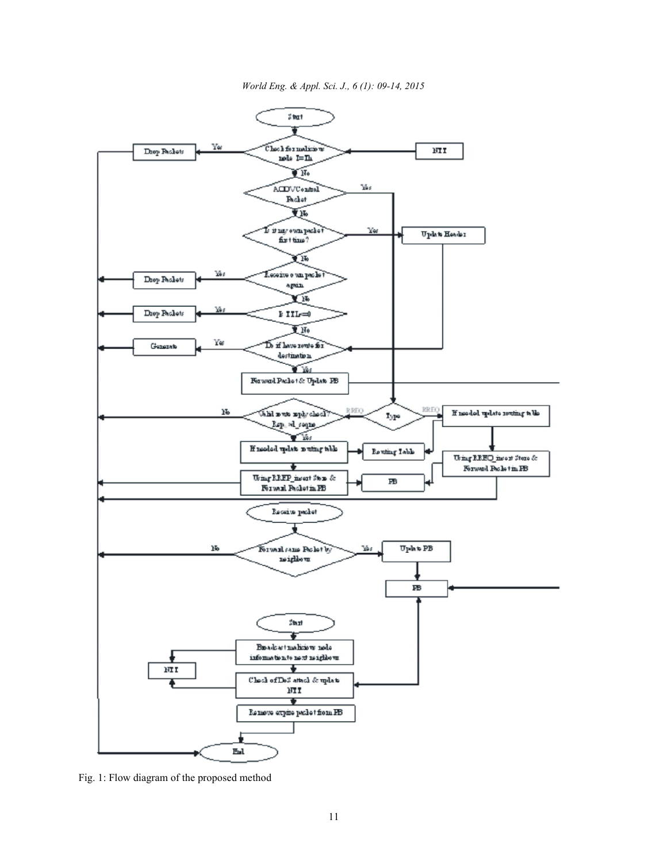*World Eng. & Appl. Sci. J., 6 (1): 09-14, 2015*



Fig. 1: Flow diagram of the proposed method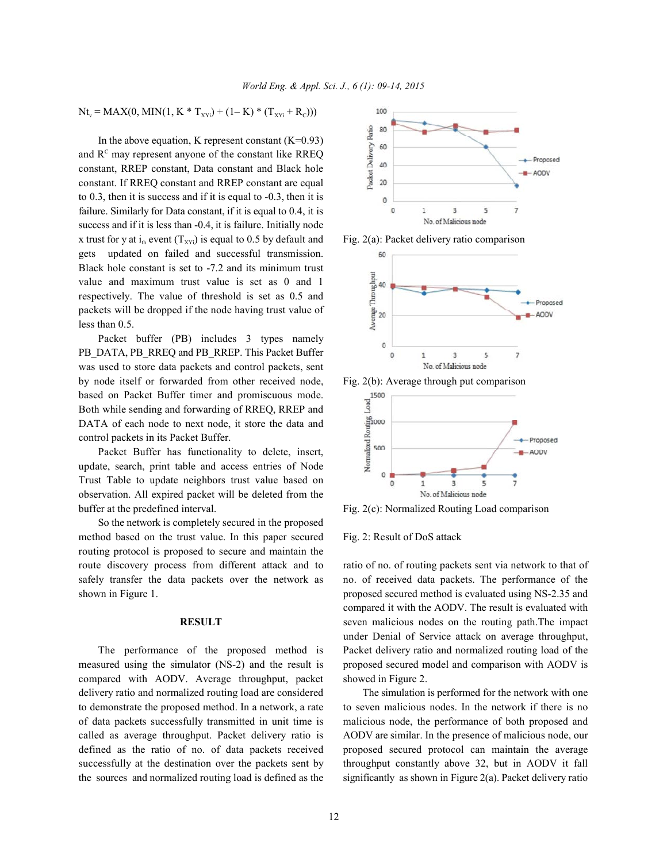$Nt_v = MAX(0, MIN(1, K * T<sub>XYi</sub>) + (1 - K) * (T<sub>XYi</sub> + R<sub>c</sub>)))$ 

In the above equation, K represent constant  $(K=0.93)$ and  $R<sup>c</sup>$  may represent anyone of the constant like RREQ constant, RREP constant, Data constant and Black hole constant. If RREQ constant and RREP constant are equal to 0.3, then it is success and if it is equal to -0.3, then it is failure. Similarly for Data constant, if it is equal to 0.4, it is success and if it is less than -0.4, it is failure. Initially node x trust for y at  $i_{th}$  event  $(T_{XYi})$  is equal to 0.5 by default and Fig. 2(a): Packet delivery ratio comparison gets updated on failed and successful transmission. Black hole constant is set to -7.2 and its minimum trust value and maximum trust value is set as 0 and 1 respectively. The value of threshold is set as 0.5 and packets will be dropped if the node having trust value of less than 0.5.

Packet buffer (PB) includes 3 types namely PB\_DATA, PB\_RREQ and PB\_RREP. This Packet Buffer was used to store data packets and control packets, sent by node itself or forwarded from other received node, Fig. 2(b): Average through put comparison based on Packet Buffer timer and promiscuous mode. Both while sending and forwarding of RREQ, RREP and DATA of each node to next node, it store the data and control packets in its Packet Buffer.

Packet Buffer has functionality to delete, insert, update, search, print table and access entries of Node Trust Table to update neighbors trust value based on observation. All expired packet will be deleted from the buffer at the predefined interval. Fig. 2(c): Normalized Routing Load comparison

So the network is completely secured in the proposed method based on the trust value. In this paper secured Fig. 2: Result of DoS attack routing protocol is proposed to secure and maintain the route discovery process from different attack and to ratio of no. of routing packets sent via network to that of safely transfer the data packets over the network as no. of received data packets. The performance of the shown in Figure 1. **proposed secured method is evaluated using NS-2.35 and** 

measured using the simulator (NS-2) and the result is proposed secured model and comparison with AODV is compared with AODV. Average throughput, packet showed in Figure 2. delivery ratio and normalized routing load are considered The simulation is performed for the network with one to demonstrate the proposed method. In a network, a rate to seven malicious nodes. In the network if there is no of data packets successfully transmitted in unit time is malicious node, the performance of both proposed and called as average throughput. Packet delivery ratio is AODV are similar. In the presence of malicious node, our defined as the ratio of no. of data packets received proposed secured protocol can maintain the average successfully at the destination over the packets sent by throughput constantly above 32, but in AODV it fall the sources and normalized routing load is defined as the significantly as shown in Figure 2(a). Packet delivery ratio







**RESULT** seven malicious nodes on the routing path.The impact The performance of the proposed method is Packet delivery ratio and normalized routing load of the compared it with the AODV. The result is evaluated with under Denial of Service attack on average throughput,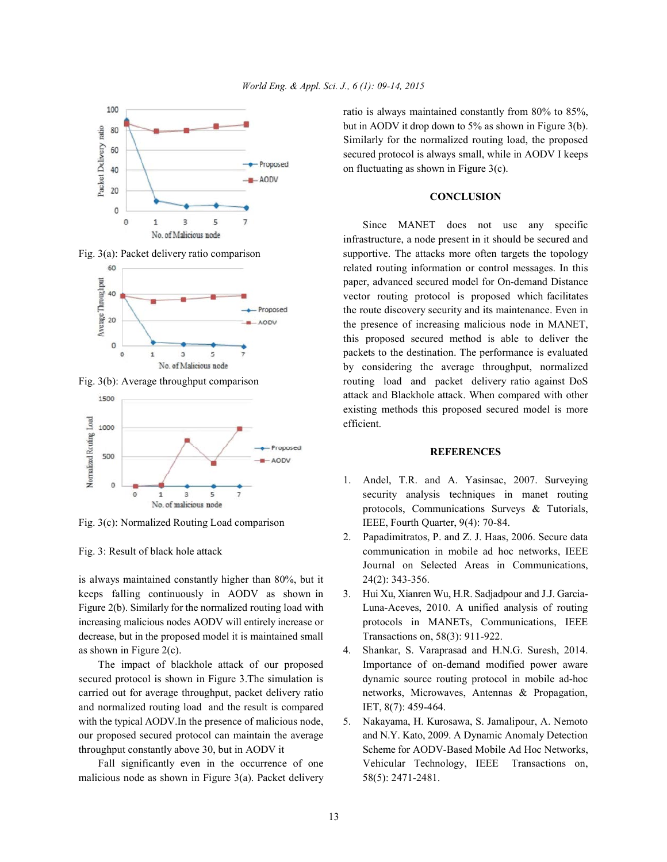





Fig. 3(c): Normalized Routing Load comparison IEEE, Fourth Quarter, 9(4): 70-84.

is always maintained constantly higher than 80%, but it 24(2): 343-356. keeps falling continuously in AODV as shown in 3. Hui Xu, Xianren Wu, H.R. Sadjadpour and J.J. Garciadecrease, but in the proposed model it is maintained small Transactions on, 58(3): 911-922. as shown in Figure 2(c). 4. Shankar, S. Varaprasad and H.N.G. Suresh, 2014.

secured protocol is shown in Figure 3.The simulation is dynamic source routing protocol in mobile ad-hoc carried out for average throughput, packet delivery ratio networks, Microwaves, Antennas & Propagation, and normalized routing load and the result is compared IET, 8(7): 459-464. with the typical AODV. In the presence of malicious node, 5. Nakayama, H. Kurosawa, S. Jamalipour, A. Nemoto our proposed secured protocol can maintain the average and N.Y. Kato, 2009. A Dynamic Anomaly Detection throughput constantly above 30, but in AODV it Scheme for AODV-Based Mobile Ad Hoc Networks,

malicious node as shown in Figure 3(a). Packet delivery 58(5): 2471-2481.

ratio is always maintained constantly from 80% to 85%, but in AODV it drop down to 5% as shown in Figure 3(b). Similarly for the normalized routing load, the proposed secured protocol is always small, while in AODV I keeps on fluctuating as shown in Figure 3(c).

## **CONCLUSION**

Fig. 3(a): Packet delivery ratio comparison supportive. The attacks more often targets the topology Fig. 3(b): Average throughput comparison routing load and packet delivery ratio against DoS Since MANET does not use any specific infrastructure, a node present in it should be secured and related routing information or control messages. In this paper, advanced secured model for On-demand Distance vector routing protocol is proposed which facilitates the route discovery security and its maintenance. Even in the presence of increasing malicious node in MANET, this proposed secured method is able to deliver the packets to the destination. The performance is evaluated by considering the average throughput, normalized attack and Blackhole attack. When compared with other existing methods this proposed secured model is more efficient.

### **REFERENCES**

- 1. Andel, T.R. and A. Yasinsac, 2007. Surveying security analysis techniques in manet routing protocols, Communications Surveys & Tutorials,
- Fig. 3: Result of black hole attack communication in mobile ad hoc networks, IEEE 2. Papadimitratos, P. and Z. J. Haas, 2006. Secure data Journal on Selected Areas in Communications,
- Figure 2(b). Similarly for the normalized routing load with Luna-Aceves, 2010. A unified analysis of routing increasing malicious nodes AODV will entirely increase or protocols in MANETs, Communications, IEEE
	- The impact of blackhole attack of our proposed Importance of on-demand modified power aware
	- Fall significantly even in the occurrence of one Vehicular Technology, IEEE Transactions on,